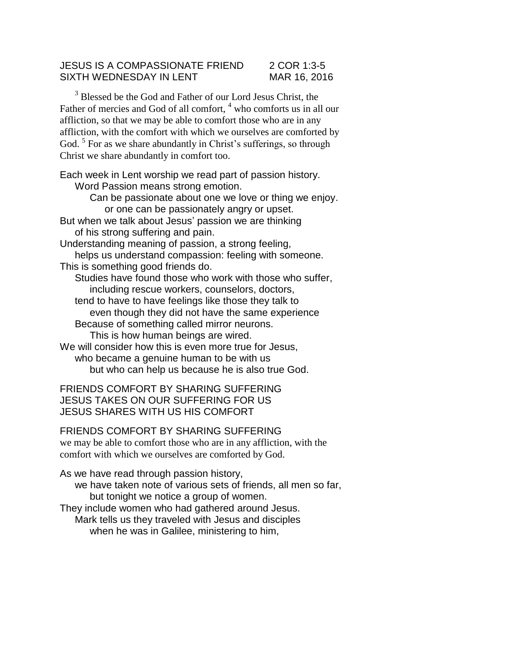## JESUS IS A COMPASSIONATE FRIEND 2 COR 1:3-5 SIXTH WEDNESDAY IN LENT MAR 16, 2016

<sup>3</sup> Blessed be the God and Father of our Lord Jesus Christ, the Father of mercies and God of all comfort, <sup>4</sup> who comforts us in all our affliction, so that we may be able to comfort those who are in any affliction, with the comfort with which we ourselves are comforted by God.<sup>5</sup> For as we share abundantly in Christ's sufferings, so through Christ we share abundantly in comfort too.

Each week in Lent worship we read part of passion history. Word Passion means strong emotion.

> Can be passionate about one we love or thing we enjoy. or one can be passionately angry or upset.

But when we talk about Jesus' passion we are thinking of his strong suffering and pain.

Understanding meaning of passion, a strong feeling, helps us understand compassion: feeling with someone. This is something good friends do.

Studies have found those who work with those who suffer, including rescue workers, counselors, doctors,

tend to have to have feelings like those they talk to even though they did not have the same experience Because of something called mirror neurons.

This is how human beings are wired.

We will consider how this is even more true for Jesus, who became a genuine human to be with us but who can help us because he is also true God.

FRIENDS COMFORT BY SHARING SUFFERING JESUS TAKES ON OUR SUFFERING FOR US JESUS SHARES WITH US HIS COMFORT

## FRIENDS COMFORT BY SHARING SUFFERING

we may be able to comfort those who are in any affliction, with the comfort with which we ourselves are comforted by God.

As we have read through passion history,

we have taken note of various sets of friends, all men so far, but tonight we notice a group of women.

They include women who had gathered around Jesus. Mark tells us they traveled with Jesus and disciples when he was in Galilee, ministering to him,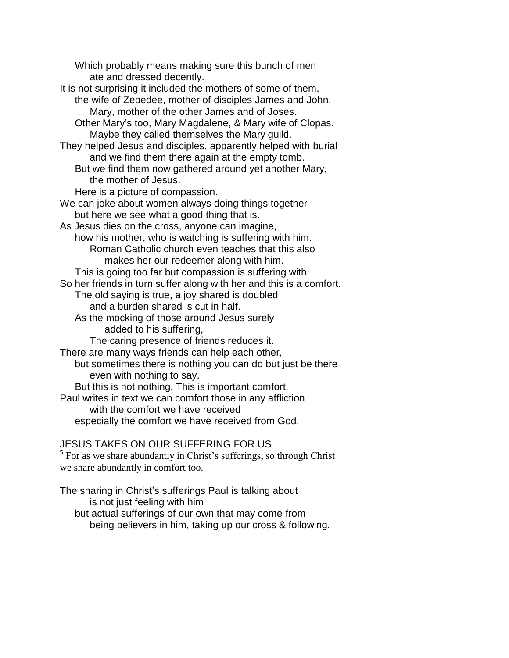Which probably means making sure this bunch of men ate and dressed decently.

- It is not surprising it included the mothers of some of them, the wife of Zebedee, mother of disciples James and John, Mary, mother of the other James and of Joses.
	- Other Mary's too, Mary Magdalene, & Mary wife of Clopas. Maybe they called themselves the Mary guild.
- They helped Jesus and disciples, apparently helped with burial and we find them there again at the empty tomb.
	- But we find them now gathered around yet another Mary, the mother of Jesus.
- Here is a picture of compassion.
- We can joke about women always doing things together but here we see what a good thing that is.
- As Jesus dies on the cross, anyone can imagine, how his mother, who is watching is suffering with him. Roman Catholic church even teaches that this also makes her our redeemer along with him.
- This is going too far but compassion is suffering with.
- So her friends in turn suffer along with her and this is a comfort.
	- The old saying is true, a joy shared is doubled and a burden shared is cut in half.
	- As the mocking of those around Jesus surely added to his suffering,
		- The caring presence of friends reduces it.
- There are many ways friends can help each other,
- but sometimes there is nothing you can do but just be there even with nothing to say.
- But this is not nothing. This is important comfort.
- Paul writes in text we can comfort those in any affliction with the comfort we have received especially the comfort we have received from God.

## JESUS TAKES ON OUR SUFFERING FOR US

 $<sup>5</sup>$  For as we share abundantly in Christ's sufferings, so through Christ</sup> we share abundantly in comfort too.

The sharing in Christ's sufferings Paul is talking about is not just feeling with him but actual sufferings of our own that may come from being believers in him, taking up our cross & following.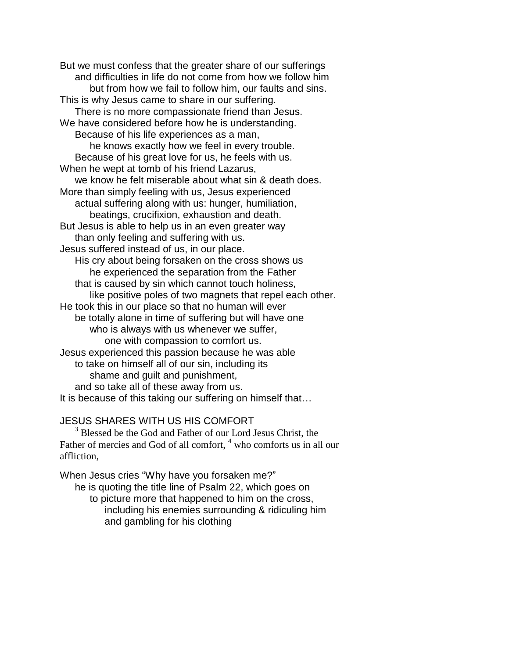But we must confess that the greater share of our sufferings and difficulties in life do not come from how we follow him but from how we fail to follow him, our faults and sins. This is why Jesus came to share in our suffering. There is no more compassionate friend than Jesus. We have considered before how he is understanding. Because of his life experiences as a man, he knows exactly how we feel in every trouble. Because of his great love for us, he feels with us. When he wept at tomb of his friend Lazarus, we know he felt miserable about what sin & death does. More than simply feeling with us, Jesus experienced actual suffering along with us: hunger, humiliation, beatings, crucifixion, exhaustion and death. But Jesus is able to help us in an even greater way than only feeling and suffering with us. Jesus suffered instead of us, in our place. His cry about being forsaken on the cross shows us he experienced the separation from the Father that is caused by sin which cannot touch holiness, like positive poles of two magnets that repel each other. He took this in our place so that no human will ever be totally alone in time of suffering but will have one who is always with us whenever we suffer, one with compassion to comfort us. Jesus experienced this passion because he was able to take on himself all of our sin, including its shame and guilt and punishment, and so take all of these away from us. It is because of this taking our suffering on himself that…

## JESUS SHARES WITH US HIS COMFORT

<sup>3</sup> Blessed be the God and Father of our Lord Jesus Christ, the Father of mercies and God of all comfort, <sup>4</sup> who comforts us in all our affliction,

When Jesus cries "Why have you forsaken me?"

he is quoting the title line of Psalm 22, which goes on

to picture more that happened to him on the cross, including his enemies surrounding & ridiculing him and gambling for his clothing